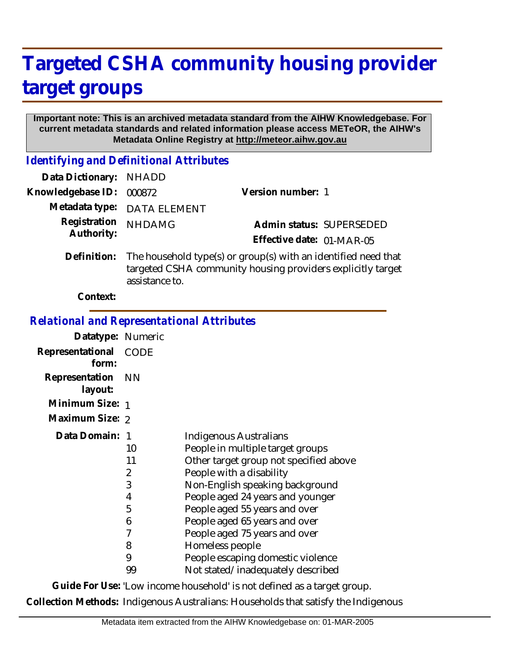## **Targeted CSHA community housing provider target groups**

## **Important note: This is an archived metadata standard from the AIHW Knowledgebase. For current metadata standards and related information please access METeOR, the AIHW's Metadata Online Registry at http://meteor.aihw.gov.au**

*Identifying and Definitional Attributes*

| Data Dictionary: NHADD     |                                                                                                                                                 |                           |
|----------------------------|-------------------------------------------------------------------------------------------------------------------------------------------------|---------------------------|
| Knowledgebase ID:          | 000872                                                                                                                                          | Version number: 1         |
|                            | Metadata type: DATA ELEMENT                                                                                                                     |                           |
| Registration<br>Authority: | <b>NHDAMG</b>                                                                                                                                   | Admin status: SUPERSEDED  |
|                            |                                                                                                                                                 | Effective date: 01-MAR-05 |
| Definition:                | The household type(s) or group(s) with an identified need that<br>targeted CSHA community housing providers explicitly target<br>assistance to. |                           |
| Context:                   |                                                                                                                                                 |                           |

*Relational and Representational Attributes*

| Datatype: Numeric              |    |                                        |
|--------------------------------|----|----------------------------------------|
| Representational CODE<br>form: |    |                                        |
| Representation NN<br>layout:   |    |                                        |
| Minimum Size: 1                |    |                                        |
| Maximum Size: 2                |    |                                        |
| Data Domain:                   |    | Indigenous Australians                 |
|                                | 10 | People in multiple target groups       |
|                                | 11 | Other target group not specified above |
|                                | 2  | People with a disability               |
|                                | 3  | Non-English speaking background        |
|                                | 4  | People aged 24 years and younger       |
|                                | 5  | People aged 55 years and over          |
|                                | 6  | People aged 65 years and over          |
|                                | 7  | People aged 75 years and over          |
|                                | 8  | Homeless people                        |
|                                | 9  | People escaping domestic violence      |
|                                | 99 | Not stated/inadequately described      |

**Guide For Use:** 'Low income household' is not defined as a target group. **Collection Methods:** Indigenous Australians: Households that satisfy the Indigenous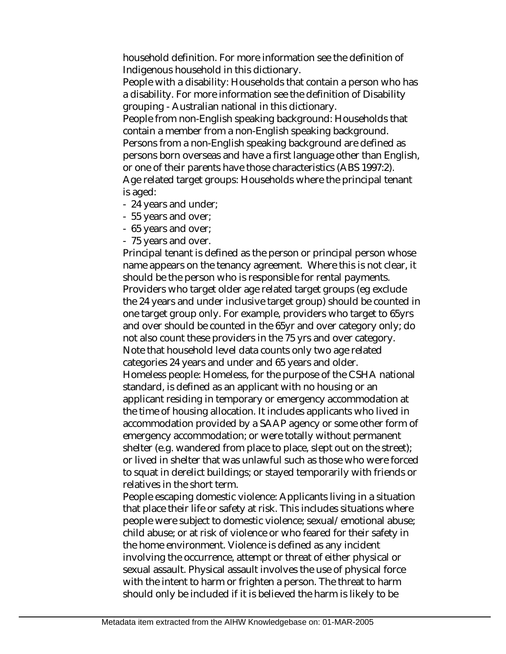household definition. For more information see the definition of Indigenous household in this dictionary.

People with a disability: Households that contain a person who has a disability. For more information see the definition of Disability grouping - Australian national in this dictionary.

People from non-English speaking background: Households that contain a member from a non-English speaking background. Persons from a non-English speaking background are defined as persons born overseas and have a first language other than English, or one of their parents have those characteristics (ABS 1997:2). Age related target groups: Households where the principal tenant is aged:

- 24 years and under;
- 55 years and over;
- 65 years and over;
- 75 years and over.

Principal tenant is defined as the person or principal person whose name appears on the tenancy agreement. Where this is not clear, it should be the person who is responsible for rental payments. Providers who target older age related target groups (eg exclude the 24 years and under inclusive target group) should be counted in one target group only. For example, providers who target to 65yrs and over should be counted in the 65yr and over category only; do not also count these providers in the 75 yrs and over category. Note that household level data counts only two age related categories 24 years and under and 65 years and older. Homeless people: Homeless, for the purpose of the CSHA national standard, is defined as an applicant with no housing or an applicant residing in temporary or emergency accommodation at the time of housing allocation. It includes applicants who lived in accommodation provided by a SAAP agency or some other form of emergency accommodation; or were totally without permanent shelter (e.g. wandered from place to place, slept out on the street); or lived in shelter that was unlawful such as those who were forced to squat in derelict buildings; or stayed temporarily with friends or relatives in the short term.

People escaping domestic violence: Applicants living in a situation that place their life or safety at risk. This includes situations where people were subject to domestic violence; sexual/emotional abuse; child abuse; or at risk of violence or who feared for their safety in the home environment. Violence is defined as any incident involving the occurrence, attempt or threat of either physical or sexual assault. Physical assault involves the use of physical force with the intent to harm or frighten a person. The threat to harm should only be included if it is believed the harm is likely to be